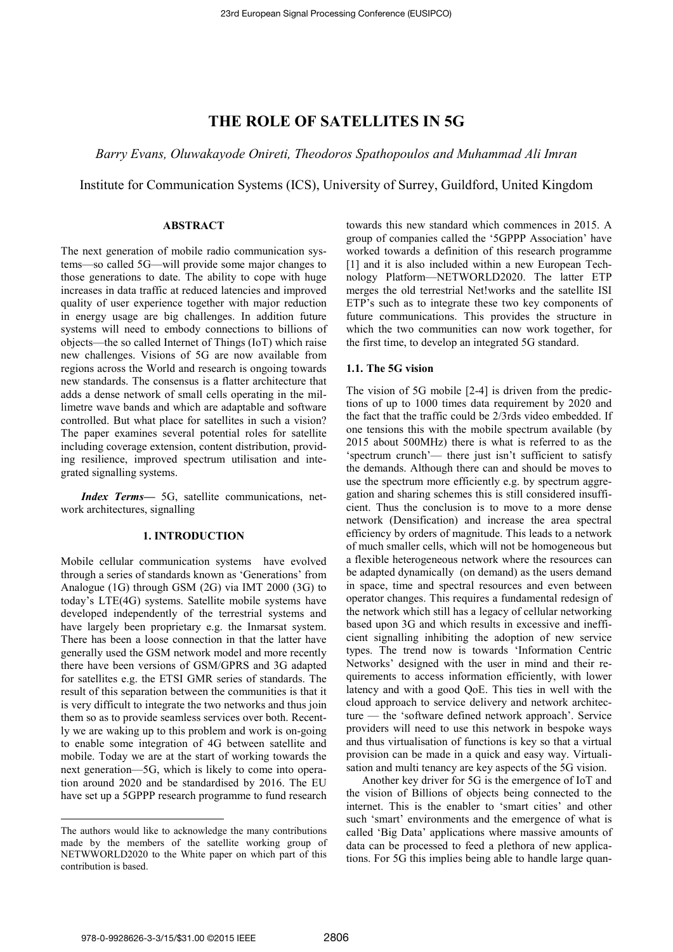# **THE ROLE OF SATELLITES IN 5G**

*Barry Evans, Oluwakayode Onireti, Theodoros Spathopoulos and Muhammad Ali Imran* 

Institute for Communication Systems (ICS), University of Surrey, Guildford, United Kingdom

## **ABSTRACT**

The next generation of mobile radio communication systems—so called 5G—will provide some major changes to those generations to date. The ability to cope with huge increases in data traffic at reduced latencies and improved quality of user experience together with major reduction in energy usage are big challenges. In addition future systems will need to embody connections to billions of objects—the so called Internet of Things (IoT) which raise new challenges. Visions of 5G are now available from regions across the World and research is ongoing towards new standards. The consensus is a flatter architecture that adds a dense network of small cells operating in the millimetre wave bands and which are adaptable and software controlled. But what place for satellites in such a vision? The paper examines several potential roles for satellite including coverage extension, content distribution, providing resilience, improved spectrum utilisation and integrated signalling systems.

*Index Terms*— 5G, satellite communications, network architectures, signalling

#### **1. INTRODUCTION**

Mobile cellular communication systems have evolved through a series of standards known as 'Generations' from Analogue (1G) through GSM (2G) via IMT 2000 (3G) to today's LTE(4G) systems. Satellite mobile systems have developed independently of the terrestrial systems and have largely been proprietary e.g. the Inmarsat system. There has been a loose connection in that the latter have generally used the GSM network model and more recently there have been versions of GSM/GPRS and 3G adapted for satellites e.g. the ETSI GMR series of standards. The result of this separation between the communities is that it is very difficult to integrate the two networks and thus join them so as to provide seamless services over both. Recently we are waking up to this problem and work is on-going to enable some integration of 4G between satellite and mobile. Today we are at the start of working towards the next generation—5G, which is likely to come into operation around 2020 and be standardised by 2016. The EU have set up a 5GPPP research programme to fund research

towards this new standard which commences in 2015. A group of companies called the '5GPPP Association' have worked towards a definition of this research programme [1] and it is also included within a new European Technology Platform—NETWORLD2020. The latter ETP merges the old terrestrial Net!works and the satellite ISI ETP's such as to integrate these two key components of future communications. This provides the structure in which the two communities can now work together, for the first time, to develop an integrated 5G standard.

## **1.1. The 5G vision**

The vision of 5G mobile [2-4] is driven from the predictions of up to 1000 times data requirement by 2020 and the fact that the traffic could be 2/3rds video embedded. If one tensions this with the mobile spectrum available (by 2015 about 500MHz) there is what is referred to as the 'spectrum crunch'— there just isn't sufficient to satisfy the demands. Although there can and should be moves to use the spectrum more efficiently e.g. by spectrum aggregation and sharing schemes this is still considered insufficient. Thus the conclusion is to move to a more dense network (Densification) and increase the area spectral efficiency by orders of magnitude. This leads to a network of much smaller cells, which will not be homogeneous but a flexible heterogeneous network where the resources can be adapted dynamically (on demand) as the users demand in space, time and spectral resources and even between operator changes. This requires a fundamental redesign of the network which still has a legacy of cellular networking based upon 3G and which results in excessive and inefficient signalling inhibiting the adoption of new service types. The trend now is towards 'Information Centric Networks' designed with the user in mind and their requirements to access information efficiently, with lower latency and with a good QoE. This ties in well with the cloud approach to service delivery and network architecture — the 'software defined network approach'. Service providers will need to use this network in bespoke ways and thus virtualisation of functions is key so that a virtual provision can be made in a quick and easy way. Virtualisation and multi tenancy are key aspects of the 5G vision.

Another key driver for 5G is the emergence of IoT and the vision of Billions of objects being connected to the internet. This is the enabler to 'smart cities' and other such 'smart' environments and the emergence of what is called 'Big Data' applications where massive amounts of data can be processed to feed a plethora of new applications. For 5G this implies being able to handle large quan-

 $\overline{a}$ 

The authors would like to acknowledge the many contributions made by the members of the satellite working group of NETWWORLD2020 to the White paper on which part of this contribution is based.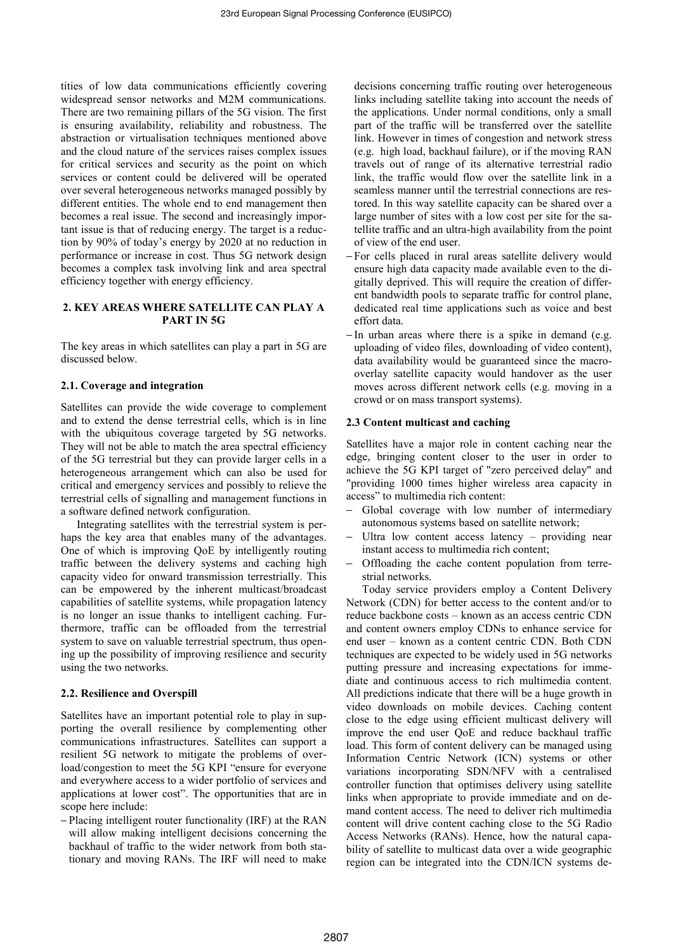tities of low data communications efficiently covering widespread sensor networks and M2M communications. There are two remaining pillars of the 5G vision. The first is ensuring availability, reliability and robustness. The abstraction or virtualisation techniques mentioned above and the cloud nature of the services raises complex issues for critical services and security as the point on which services or content could be delivered will be operated over several heterogeneous networks managed possibly by different entities. The whole end to end management then becomes a real issue. The second and increasingly important issue is that of reducing energy. The target is a reduction by 90% of today's energy by 2020 at no reduction in performance or increase in cost. Thus 5G network design becomes a complex task involving link and area spectral efficiency together with energy efficiency.

# **2. KEY AREAS WHERE SATELLITE CAN PLAY A PART IN 5G**

The key areas in which satellites can play a part in 5G are discussed below.

## **2.1. Coverage and integration**

Satellites can provide the wide coverage to complement and to extend the dense terrestrial cells, which is in line with the ubiquitous coverage targeted by 5G networks. They will not be able to match the area spectral efficiency of the 5G terrestrial but they can provide larger cells in a heterogeneous arrangement which can also be used for critical and emergency services and possibly to relieve the terrestrial cells of signalling and management functions in a software defined network configuration.

Integrating satellites with the terrestrial system is perhaps the key area that enables many of the advantages. One of which is improving QoE by intelligently routing traffic between the delivery systems and caching high capacity video for onward transmission terrestrially. This can be empowered by the inherent multicast/broadcast capabilities of satellite systems, while propagation latency is no longer an issue thanks to intelligent caching. Furthermore, traffic can be offloaded from the terrestrial system to save on valuable terrestrial spectrum, thus opening up the possibility of improving resilience and security using the two networks.

#### **2.2. Resilience and Overspill**

Satellites have an important potential role to play in supporting the overall resilience by complementing other communications infrastructures. Satellites can support a resilient 5G network to mitigate the problems of overload/congestion to meet the 5G KPI "ensure for everyone and everywhere access to a wider portfolio of services and applications at lower cost". The opportunities that are in scope here include:

− Placing intelligent router functionality (IRF) at the RAN will allow making intelligent decisions concerning the backhaul of traffic to the wider network from both stationary and moving RANs. The IRF will need to make decisions concerning traffic routing over heterogeneous links including satellite taking into account the needs of the applications. Under normal conditions, only a small part of the traffic will be transferred over the satellite link. However in times of congestion and network stress (e.g. high load, backhaul failure), or if the moving RAN travels out of range of its alternative terrestrial radio link, the traffic would flow over the satellite link in a seamless manner until the terrestrial connections are restored. In this way satellite capacity can be shared over a large number of sites with a low cost per site for the satellite traffic and an ultra-high availability from the point of view of the end user.

- − For cells placed in rural areas satellite delivery would ensure high data capacity made available even to the digitally deprived. This will require the creation of different bandwidth pools to separate traffic for control plane, dedicated real time applications such as voice and best effort data.
- − In urban areas where there is a spike in demand (e.g. uploading of video files, downloading of video content), data availability would be guaranteed since the macrooverlay satellite capacity would handover as the user moves across different network cells (e.g. moving in a crowd or on mass transport systems).

## **2.3 Content multicast and caching**

Satellites have a major role in content caching near the edge, bringing content closer to the user in order to achieve the 5G KPI target of "zero perceived delay" and "providing 1000 times higher wireless area capacity in access" to multimedia rich content:

- Global coverage with low number of intermediary autonomous systems based on satellite network;
- − Ultra low content access latency providing near instant access to multimedia rich content;
- − Offloading the cache content population from terrestrial networks.

Today service providers employ a Content Delivery Network (CDN) for better access to the content and/or to reduce backbone costs – known as an access centric CDN and content owners employ CDNs to enhance service for end user – known as a content centric CDN. Both CDN techniques are expected to be widely used in 5G networks putting pressure and increasing expectations for immediate and continuous access to rich multimedia content. All predictions indicate that there will be a huge growth in video downloads on mobile devices. Caching content close to the edge using efficient multicast delivery will improve the end user QoE and reduce backhaul traffic load. This form of content delivery can be managed using Information Centric Network (ICN) systems or other variations incorporating SDN/NFV with a centralised controller function that optimises delivery using satellite links when appropriate to provide immediate and on demand content access. The need to deliver rich multimedia content will drive content caching close to the 5G Radio Access Networks (RANs). Hence, how the natural capability of satellite to multicast data over a wide geographic region can be integrated into the CDN/ICN systems de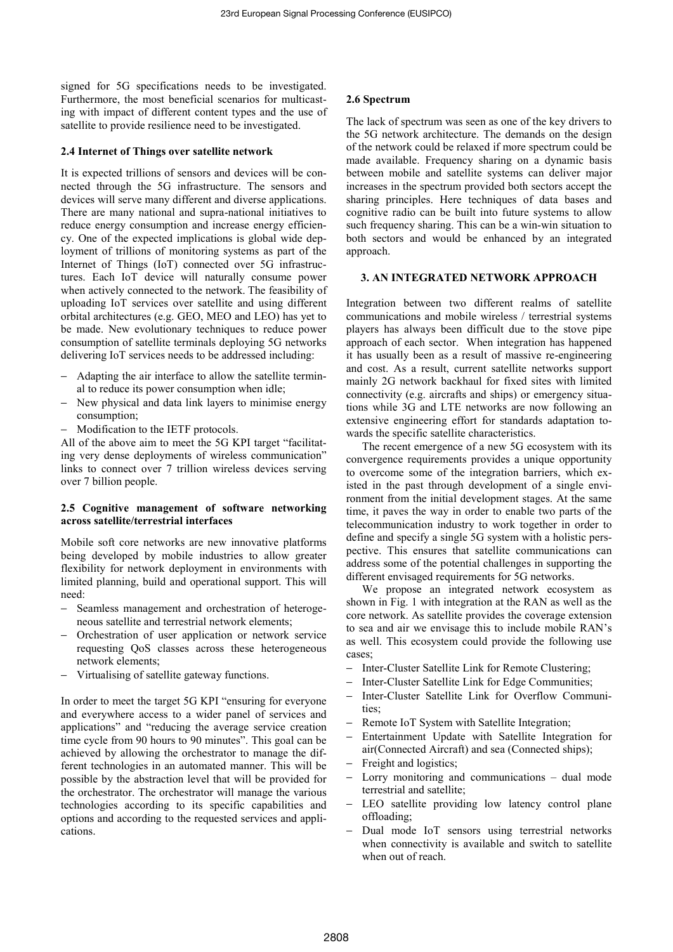signed for 5G specifications needs to be investigated. Furthermore, the most beneficial scenarios for multicasting with impact of different content types and the use of satellite to provide resilience need to be investigated.

## **2.4 Internet of Things over satellite network**

It is expected trillions of sensors and devices will be connected through the 5G infrastructure. The sensors and devices will serve many different and diverse applications. There are many national and supra-national initiatives to reduce energy consumption and increase energy efficiency. One of the expected implications is global wide deployment of trillions of monitoring systems as part of the Internet of Things (IoT) connected over 5G infrastructures. Each IoT device will naturally consume power when actively connected to the network. The feasibility of uploading IoT services over satellite and using different orbital architectures (e.g. GEO, MEO and LEO) has yet to be made. New evolutionary techniques to reduce power consumption of satellite terminals deploying 5G networks delivering IoT services needs to be addressed including:

- Adapting the air interface to allow the satellite terminal to reduce its power consumption when idle;
- New physical and data link layers to minimise energy consumption;
- Modification to the IETF protocols.

All of the above aim to meet the 5G KPI target "facilitating very dense deployments of wireless communication" links to connect over 7 trillion wireless devices serving over 7 billion people.

## **2.5 Cognitive management of software networking across satellite/terrestrial interfaces**

Mobile soft core networks are new innovative platforms being developed by mobile industries to allow greater flexibility for network deployment in environments with limited planning, build and operational support. This will need:

- Seamless management and orchestration of heterogeneous satellite and terrestrial network elements;
- − Orchestration of user application or network service requesting QoS classes across these heterogeneous network elements;
- − Virtualising of satellite gateway functions.

In order to meet the target 5G KPI "ensuring for everyone and everywhere access to a wider panel of services and applications" and "reducing the average service creation time cycle from 90 hours to 90 minutes". This goal can be achieved by allowing the orchestrator to manage the different technologies in an automated manner. This will be possible by the abstraction level that will be provided for the orchestrator. The orchestrator will manage the various technologies according to its specific capabilities and options and according to the requested services and applications.

#### **2.6 Spectrum**

The lack of spectrum was seen as one of the key drivers to the 5G network architecture. The demands on the design of the network could be relaxed if more spectrum could be made available. Frequency sharing on a dynamic basis between mobile and satellite systems can deliver major increases in the spectrum provided both sectors accept the sharing principles. Here techniques of data bases and cognitive radio can be built into future systems to allow such frequency sharing. This can be a win-win situation to both sectors and would be enhanced by an integrated approach.

# **3. AN INTEGRATED NETWORK APPROACH**

Integration between two different realms of satellite communications and mobile wireless / terrestrial systems players has always been difficult due to the stove pipe approach of each sector. When integration has happened it has usually been as a result of massive re-engineering and cost. As a result, current satellite networks support mainly 2G network backhaul for fixed sites with limited connectivity (e.g. aircrafts and ships) or emergency situations while 3G and LTE networks are now following an extensive engineering effort for standards adaptation towards the specific satellite characteristics.

The recent emergence of a new 5G ecosystem with its convergence requirements provides a unique opportunity to overcome some of the integration barriers, which existed in the past through development of a single environment from the initial development stages. At the same time, it paves the way in order to enable two parts of the telecommunication industry to work together in order to define and specify a single 5G system with a holistic perspective. This ensures that satellite communications can address some of the potential challenges in supporting the different envisaged requirements for 5G networks.

We propose an integrated network ecosystem as shown in Fig. 1 with integration at the RAN as well as the core network. As satellite provides the coverage extension to sea and air we envisage this to include mobile RAN's as well. This ecosystem could provide the following use cases;

- − Inter-Cluster Satellite Link for Remote Clustering;
- − Inter-Cluster Satellite Link for Edge Communities;
- − Inter-Cluster Satellite Link for Overflow Communities;
- Remote IoT System with Satellite Integration;
- Entertainment Update with Satellite Integration for air(Connected Aircraft) and sea (Connected ships);
- − Freight and logistics;
- − Lorry monitoring and communications dual mode terrestrial and satellite;
- − LEO satellite providing low latency control plane offloading;
- Dual mode IoT sensors using terrestrial networks when connectivity is available and switch to satellite when out of reach.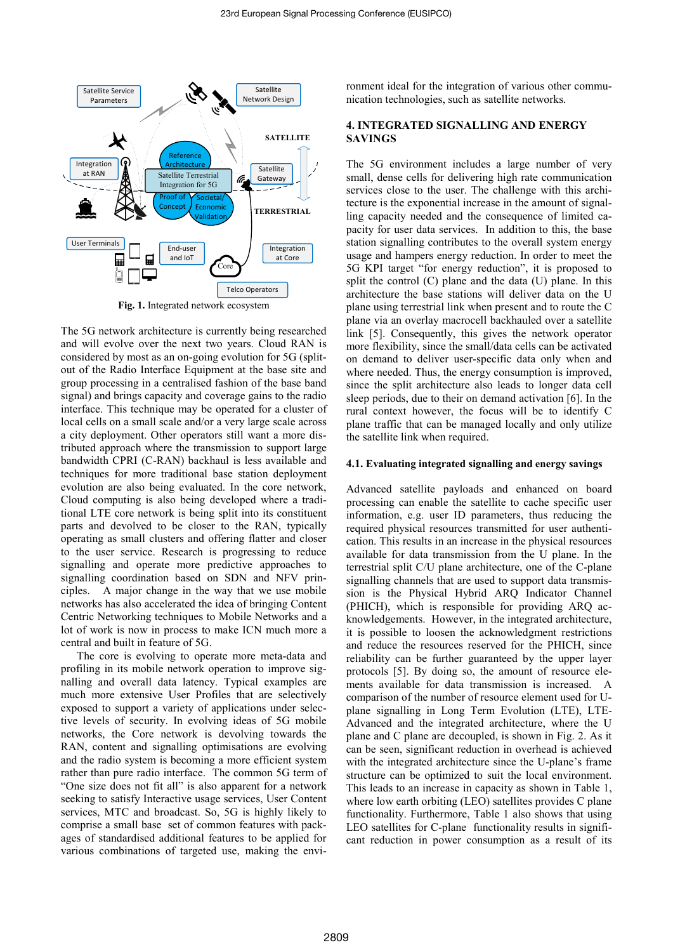

**Fig. 1.** Integrated network ecosystem

The 5G network architecture is currently being researched and will evolve over the next two years. Cloud RAN is considered by most as an on-going evolution for 5G (splitout of the Radio Interface Equipment at the base site and group processing in a centralised fashion of the base band signal) and brings capacity and coverage gains to the radio interface. This technique may be operated for a cluster of local cells on a small scale and/or a very large scale across a city deployment. Other operators still want a more distributed approach where the transmission to support large bandwidth CPRI (C-RAN) backhaul is less available and techniques for more traditional base station deployment evolution are also being evaluated. In the core network, Cloud computing is also being developed where a traditional LTE core network is being split into its constituent parts and devolved to be closer to the RAN, typically operating as small clusters and offering flatter and closer to the user service. Research is progressing to reduce signalling and operate more predictive approaches to signalling coordination based on SDN and NFV principles. A major change in the way that we use mobile networks has also accelerated the idea of bringing Content Centric Networking techniques to Mobile Networks and a lot of work is now in process to make ICN much more a central and built in feature of 5G.

The core is evolving to operate more meta-data and profiling in its mobile network operation to improve signalling and overall data latency. Typical examples are much more extensive User Profiles that are selectively exposed to support a variety of applications under selective levels of security. In evolving ideas of 5G mobile networks, the Core network is devolving towards the RAN, content and signalling optimisations are evolving and the radio system is becoming a more efficient system rather than pure radio interface. The common 5G term of "One size does not fit all" is also apparent for a network seeking to satisfy Interactive usage services, User Content services, MTC and broadcast. So, 5G is highly likely to comprise a small base set of common features with packages of standardised additional features to be applied for various combinations of targeted use, making the environment ideal for the integration of various other communication technologies, such as satellite networks.

# **4. INTEGRATED SIGNALLING AND ENERGY SAVINGS**

The 5G environment includes a large number of very small, dense cells for delivering high rate communication services close to the user. The challenge with this architecture is the exponential increase in the amount of signalling capacity needed and the consequence of limited capacity for user data services. In addition to this, the base station signalling contributes to the overall system energy usage and hampers energy reduction. In order to meet the 5G KPI target "for energy reduction", it is proposed to split the control (C) plane and the data (U) plane. In this architecture the base stations will deliver data on the U plane using terrestrial link when present and to route the C plane via an overlay macrocell backhauled over a satellite link [5]. Consequently, this gives the network operator more flexibility, since the small/data cells can be activated on demand to deliver user-specific data only when and where needed. Thus, the energy consumption is improved, since the split architecture also leads to longer data cell sleep periods, due to their on demand activation [6]. In the rural context however, the focus will be to identify C plane traffic that can be managed locally and only utilize the satellite link when required.

## **4.1. Evaluating integrated signalling and energy savings**

Advanced satellite payloads and enhanced on board processing can enable the satellite to cache specific user information, e.g. user ID parameters, thus reducing the required physical resources transmitted for user authentication. This results in an increase in the physical resources available for data transmission from the U plane. In the terrestrial split C/U plane architecture, one of the C-plane signalling channels that are used to support data transmission is the Physical Hybrid ARQ Indicator Channel (PHICH), which is responsible for providing ARQ acknowledgements. However, in the integrated architecture, it is possible to loosen the acknowledgment restrictions and reduce the resources reserved for the PHICH, since reliability can be further guaranteed by the upper layer protocols [5]. By doing so, the amount of resource elements available for data transmission is increased. A comparison of the number of resource element used for Uplane signalling in Long Term Evolution (LTE), LTE-Advanced and the integrated architecture, where the U plane and C plane are decoupled, is shown in Fig. 2. As it can be seen, significant reduction in overhead is achieved with the integrated architecture since the U-plane's frame structure can be optimized to suit the local environment. This leads to an increase in capacity as shown in Table 1, where low earth orbiting (LEO) satellites provides C plane functionality. Furthermore, Table 1 also shows that using LEO satellites for C-plane functionality results in significant reduction in power consumption as a result of its